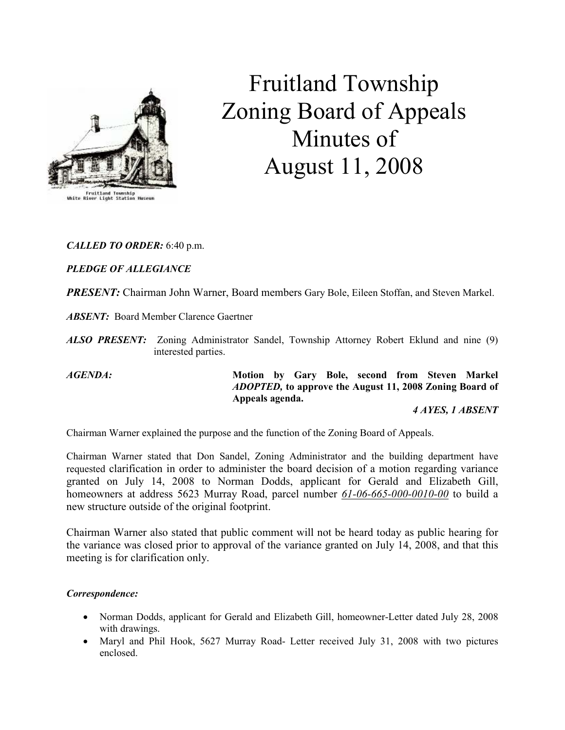

# Fruitland Township Zoning Board of Appeals Minutes of August 11, 2008

## CALLED TO ORDER: 6:40 p.m.

## PLEDGE OF ALLEGIANCE

PRESENT: Chairman John Warner, Board members Gary Bole, Eileen Stoffan, and Steven Markel.

ABSENT: Board Member Clarence Gaertner

ALSO PRESENT: Zoning Administrator Sandel, Township Attorney Robert Eklund and nine (9) interested parties.

AGENDA: Motion by Gary Bole, second from Steven Markel ADOPTED, to approve the August 11, 2008 Zoning Board of Appeals agenda.

4 AYES, 1 ABSENT

Chairman Warner explained the purpose and the function of the Zoning Board of Appeals.

Chairman Warner stated that Don Sandel, Zoning Administrator and the building department have requested clarification in order to administer the board decision of a motion regarding variance granted on July 14, 2008 to Norman Dodds, applicant for Gerald and Elizabeth Gill, homeowners at address 5623 Murray Road, parcel number 61-06-665-000-0010-00 to build a new structure outside of the original footprint.

Chairman Warner also stated that public comment will not be heard today as public hearing for the variance was closed prior to approval of the variance granted on July 14, 2008, and that this meeting is for clarification only.

#### Correspondence:

- Norman Dodds, applicant for Gerald and Elizabeth Gill, homeowner-Letter dated July 28, 2008 with drawings.
- Maryl and Phil Hook, 5627 Murray Road- Letter received July 31, 2008 with two pictures enclosed.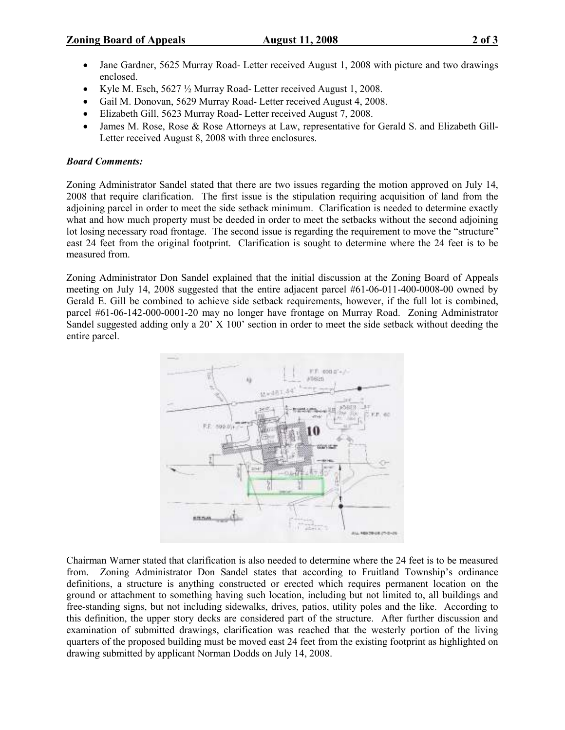- Jane Gardner, 5625 Murray Road- Letter received August 1, 2008 with picture and two drawings enclosed.
- Kyle M. Esch,  $5627\frac{1}{2}$  Murray Road-Letter received August 1, 2008.
- Gail M. Donovan, 5629 Murray Road- Letter received August 4, 2008.
- Elizabeth Gill, 5623 Murray Road- Letter received August 7, 2008.
- James M. Rose, Rose & Rose Attorneys at Law, representative for Gerald S. and Elizabeth Gill-Letter received August 8, 2008 with three enclosures.

#### Board Comments:

Zoning Administrator Sandel stated that there are two issues regarding the motion approved on July 14, 2008 that require clarification. The first issue is the stipulation requiring acquisition of land from the adjoining parcel in order to meet the side setback minimum. Clarification is needed to determine exactly what and how much property must be deeded in order to meet the setbacks without the second adjoining lot losing necessary road frontage. The second issue is regarding the requirement to move the "structure" east 24 feet from the original footprint. Clarification is sought to determine where the 24 feet is to be measured from.

Zoning Administrator Don Sandel explained that the initial discussion at the Zoning Board of Appeals meeting on July 14, 2008 suggested that the entire adjacent parcel #61-06-011-400-0008-00 owned by Gerald E. Gill be combined to achieve side setback requirements, however, if the full lot is combined, parcel #61-06-142-000-0001-20 may no longer have frontage on Murray Road. Zoning Administrator Sandel suggested adding only a 20' X 100' section in order to meet the side setback without deeding the entire parcel.



Chairman Warner stated that clarification is also needed to determine where the 24 feet is to be measured from. Zoning Administrator Don Sandel states that according to Fruitland Township's ordinance definitions, a structure is anything constructed or erected which requires permanent location on the ground or attachment to something having such location, including but not limited to, all buildings and free-standing signs, but not including sidewalks, drives, patios, utility poles and the like. According to this definition, the upper story decks are considered part of the structure. After further discussion and examination of submitted drawings, clarification was reached that the westerly portion of the living quarters of the proposed building must be moved east 24 feet from the existing footprint as highlighted on drawing submitted by applicant Norman Dodds on July 14, 2008.